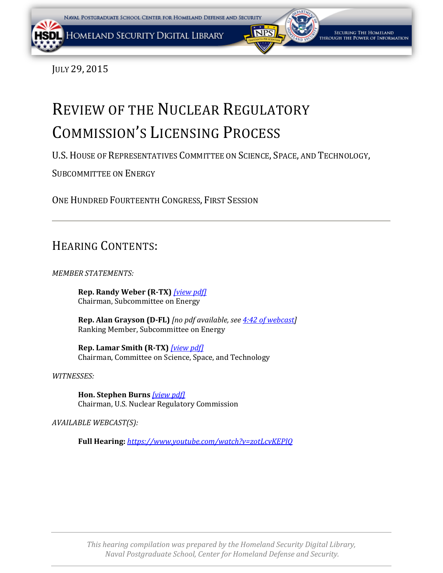<span id="page-0-0"></span>JULY 29, 2015

# REVIEW OF THE NUCLEAR REGULATORY COMMISSION'S LICENSING PROCESS

U.S.HOUSE OF REPRESENTATIVES COMMITTEE ON SCIENCE, SPACE, AND TECHNOLOGY,

SUBCOMMITTEE ON ENERGY

ONE HUNDRED FOURTEENTH CONGRESS, FIRST SESSION

# HEARING CONTENTS:

*MEMBER STATEMENTS:*

**Rep. Randy Weber (R-TX)** *[\[view pdf\]](#page-0-0)* Chairman, Subcommittee on Energy

**Rep. Alan Grayson (D-FL)** *[no pdf available, se[e 4:42 of webcast\]](https://youtu.be/zotLcvKEPlQ?t=282)* Ranking Member, Subcommittee on Energy

**Rep. Lamar Smith (R-TX)** *[\[](#page-0-0)[view pdf\]](#page-4-0)* Chairman, Committee on Science, Space, and Technology

*WITNESSES:*

**Hon. Stephen Burns** *[\[view pdf\]](#page-0-0)* Chairman, U.S. Nuclear Regulatory Commission

*AVAILABLE WEBCAST(S):*

**Full Hearing:** *<https://www.youtube.com/watch?v=zotLcvKEPlQ>*

*This hearing compilation was prepared by the Homeland Security Digital Library, Naval Postgraduate School, Center for Homeland Defense and Security.*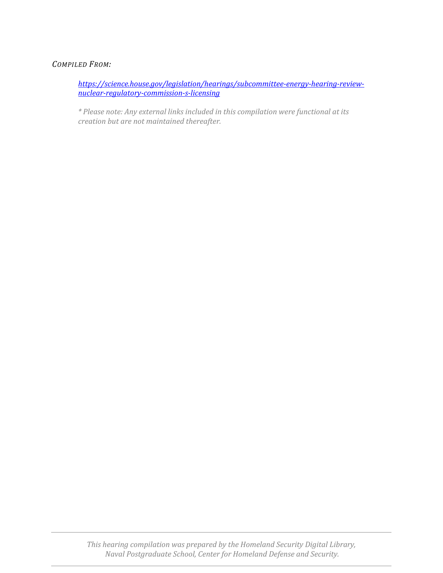## *COMPILED FROM:*

*[https://science.house.gov/legislation/hearings/subcommittee-energy-hearing-review](https://science.house.gov/legislation/hearings/subcommittee-energy-hearing-review-nuclear-regulatory-commission-s-licensing)[nuclear-regulatory-commission-s-licensing](https://science.house.gov/legislation/hearings/subcommittee-energy-hearing-review-nuclear-regulatory-commission-s-licensing)*

*\* Please note: Any external links included in this compilation were functional at its creation but are not maintained thereafter.*

*This hearing compilation was prepared by the Homeland Security Digital Library, Naval Postgraduate School, Center for Homeland Defense and Security.*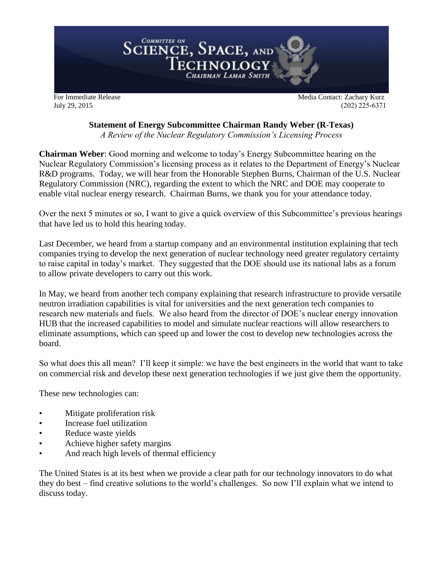<span id="page-2-0"></span>

July 29, 2015 (202) 225-6371

# **Statement of Energy Subcommittee Chairman Randy Weber (R-Texas)**

*A Review of the Nuclear Regulatory Commission's Licensing Process*

**Chairman Weber**: Good morning and welcome to today's Energy Subcommittee hearing on the Nuclear Regulatory Commission's licensing process as it relates to the Department of Energy's Nuclear R&D programs. Today, we will hear from the Honorable Stephen Burns, Chairman of the U.S. Nuclear Regulatory Commission (NRC), regarding the extent to which the NRC and DOE may cooperate to enable vital nuclear energy research. Chairman Burns, we thank you for your attendance today.

Over the next 5 minutes or so, I want to give a quick overview of this Subcommittee's previous hearings that have led us to hold this hearing today.

Last December, we heard from a startup company and an environmental institution explaining that tech companies trying to develop the next generation of nuclear technology need greater regulatory certainty to raise capital in today's market. They suggested that the DOE should use its national labs as a forum to allow private developers to carry out this work.

In May, we heard from another tech company explaining that research infrastructure to provide versatile neutron irradiation capabilities is vital for universities and the next generation tech companies to research new materials and fuels. We also heard from the director of DOE's nuclear energy innovation HUB that the increased capabilities to model and simulate nuclear reactions will allow researchers to eliminate assumptions, which can speed up and lower the cost to develop new technologies across the board.

So what does this all mean? I'll keep it simple: we have the best engineers in the world that want to take on commercial risk and develop these next generation technologies if we just give them the opportunity.

These new technologies can:

- Mitigate proliferation risk
- Increase fuel utilization
- Reduce waste yields
- Achieve higher safety margins
- And reach high levels of thermal efficiency

The United States is at its best when we provide a clear path for our technology innovators to do what they do best – find creative solutions to the world's challenges. So now I'll explain what we intend to discuss today.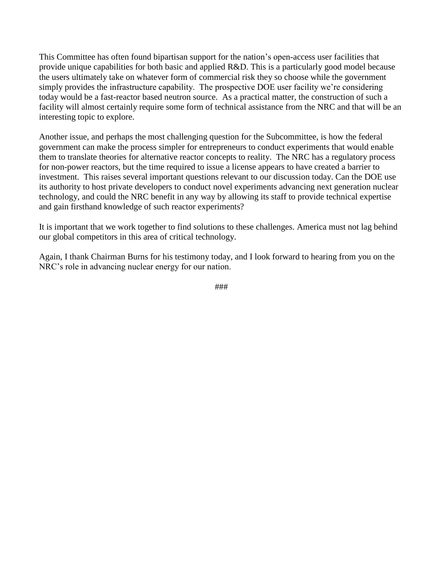This Committee has often found bipartisan support for the nation's open-access user facilities that provide unique capabilities for both basic and applied R&D. This is a particularly good model because the users ultimately take on whatever form of commercial risk they so choose while the government simply provides the infrastructure capability. The prospective DOE user facility we're considering today would be a fast-reactor based neutron source. As a practical matter, the construction of such a facility will almost certainly require some form of technical assistance from the NRC and that will be an interesting topic to explore.

Another issue, and perhaps the most challenging question for the Subcommittee, is how the federal government can make the process simpler for entrepreneurs to conduct experiments that would enable them to translate theories for alternative reactor concepts to reality. The NRC has a regulatory process for non-power reactors, but the time required to issue a license appears to have created a barrier to investment. This raises several important questions relevant to our discussion today. Can the DOE use its authority to host private developers to conduct novel experiments advancing next generation nuclear technology, and could the NRC benefit in any way by allowing its staff to provide technical expertise and gain firsthand knowledge of such reactor experiments?

It is important that we work together to find solutions to these challenges. America must not lag behind our global competitors in this area of critical technology.

Again, I thank Chairman Burns for his testimony today, and I look forward to hearing from you on the NRC's role in advancing nuclear energy for our nation.

###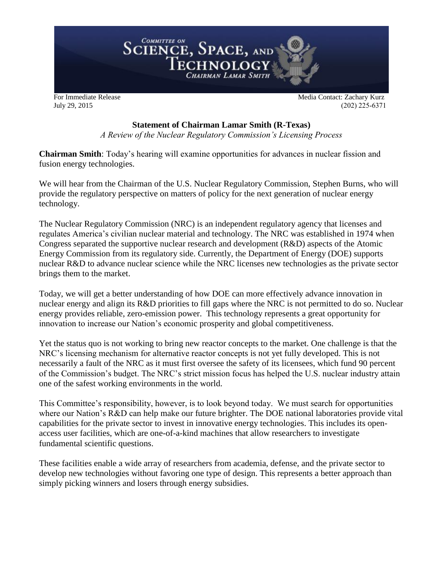<span id="page-4-0"></span>

July 29, 2015 (202) 225-6371

# **Statement of Chairman Lamar Smith (R-Texas)**

*A Review of the Nuclear Regulatory Commission's Licensing Process*

**Chairman Smith**: Today's hearing will examine opportunities for advances in nuclear fission and fusion energy technologies.

We will hear from the Chairman of the U.S. Nuclear Regulatory Commission, Stephen Burns, who will provide the regulatory perspective on matters of policy for the next generation of nuclear energy technology.

The Nuclear Regulatory Commission (NRC) is an independent regulatory agency that licenses and regulates America's civilian nuclear material and technology. The NRC was established in 1974 when Congress separated the supportive nuclear research and development (R&D) aspects of the Atomic Energy Commission from its regulatory side. Currently, the Department of Energy (DOE) supports nuclear R&D to advance nuclear science while the NRC licenses new technologies as the private sector brings them to the market.

Today, we will get a better understanding of how DOE can more effectively advance innovation in nuclear energy and align its R&D priorities to fill gaps where the NRC is not permitted to do so. Nuclear energy provides reliable, zero-emission power. This technology represents a great opportunity for innovation to increase our Nation's economic prosperity and global competitiveness.

Yet the status quo is not working to bring new reactor concepts to the market. One challenge is that the NRC's licensing mechanism for alternative reactor concepts is not yet fully developed. This is not necessarily a fault of the NRC as it must first oversee the safety of its licensees, which fund 90 percent of the Commission's budget. The NRC's strict mission focus has helped the U.S. nuclear industry attain one of the safest working environments in the world.

This Committee's responsibility, however, is to look beyond today. We must search for opportunities where our Nation's R&D can help make our future brighter. The DOE national laboratories provide vital capabilities for the private sector to invest in innovative energy technologies. This includes its openaccess user facilities, which are one-of-a-kind machines that allow researchers to investigate fundamental scientific questions.

These facilities enable a wide array of researchers from academia, defense, and the private sector to develop new technologies without favoring one type of design. This represents a better approach than simply picking winners and losers through energy subsidies.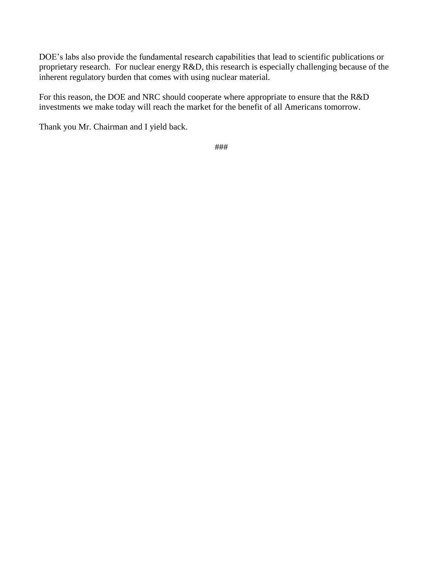DOE's labs also provide the fundamental research capabilities that lead to scientific publications or proprietary research. For nuclear energy R&D, this research is especially challenging because of the inherent regulatory burden that comes with using nuclear material.

For this reason, the DOE and NRC should cooperate where appropriate to ensure that the R&D investments we make today will reach the market for the benefit of all Americans tomorrow.

Thank you Mr. Chairman and I yield back.

###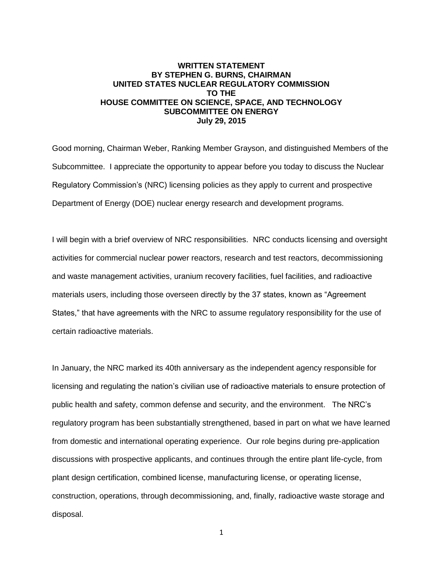### <span id="page-6-0"></span>**WRITTEN STATEMENT BY STEPHEN G. BURNS, CHAIRMAN UNITED STATES NUCLEAR REGULATORY COMMISSION TO THE HOUSE COMMITTEE ON SCIENCE, SPACE, AND TECHNOLOGY SUBCOMMITTEE ON ENERGY July 29, 2015**

Good morning, Chairman Weber, Ranking Member Grayson, and distinguished Members of the Subcommittee. I appreciate the opportunity to appear before you today to discuss the Nuclear Regulatory Commission's (NRC) licensing policies as they apply to current and prospective Department of Energy (DOE) nuclear energy research and development programs.

I will begin with a brief overview of NRC responsibilities. NRC conducts licensing and oversight activities for commercial nuclear power reactors, research and test reactors, decommissioning and waste management activities, uranium recovery facilities, fuel facilities, and radioactive materials users, including those overseen directly by the 37 states, known as "Agreement States," that have agreements with the NRC to assume regulatory responsibility for the use of certain radioactive materials.

In January, the NRC marked its 40th anniversary as the independent agency responsible for licensing and regulating the nation's civilian use of radioactive materials to ensure protection of public health and safety, common defense and security, and the environment. The NRC's regulatory program has been substantially strengthened, based in part on what we have learned from domestic and international operating experience. Our role begins during pre-application discussions with prospective applicants, and continues through the entire plant life-cycle, from plant design certification, combined license, manufacturing license, or operating license, construction, operations, through decommissioning, and, finally, radioactive waste storage and disposal.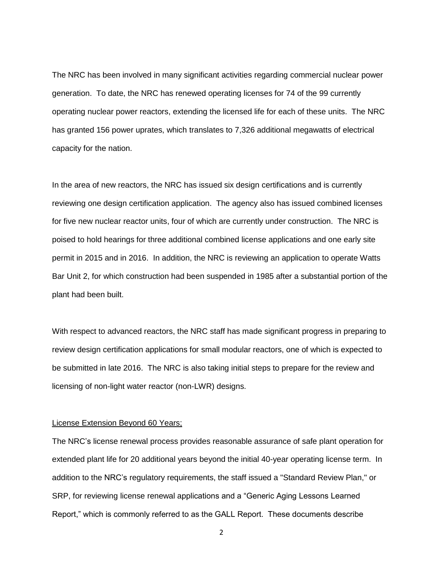The NRC has been involved in many significant activities regarding commercial nuclear power generation. To date, the NRC has renewed operating licenses for 74 of the 99 currently operating nuclear power reactors, extending the licensed life for each of these units. The NRC has granted 156 power uprates, which translates to 7,326 additional megawatts of electrical capacity for the nation.

In the area of new reactors, the NRC has issued six design certifications and is currently reviewing one design certification application. The agency also has issued combined licenses for five new nuclear reactor units, four of which are currently under construction. The NRC is poised to hold hearings for three additional combined license applications and one early site permit in 2015 and in 2016. In addition, the NRC is reviewing an application to operate Watts Bar Unit 2, for which construction had been suspended in 1985 after a substantial portion of the plant had been built.

With respect to advanced reactors, the NRC staff has made significant progress in preparing to review design certification applications for small modular reactors, one of which is expected to be submitted in late 2016. The NRC is also taking initial steps to prepare for the review and licensing of non-light water reactor (non-LWR) designs.

#### License Extension Beyond 60 Years;

The NRC's license renewal process provides reasonable assurance of safe plant operation for extended plant life for 20 additional years beyond the initial 40-year operating license term. In addition to the NRC's regulatory requirements, the staff issued a "Standard Review Plan," or SRP, for reviewing license renewal applications and a "Generic Aging Lessons Learned Report," which is commonly referred to as the GALL Report. These documents describe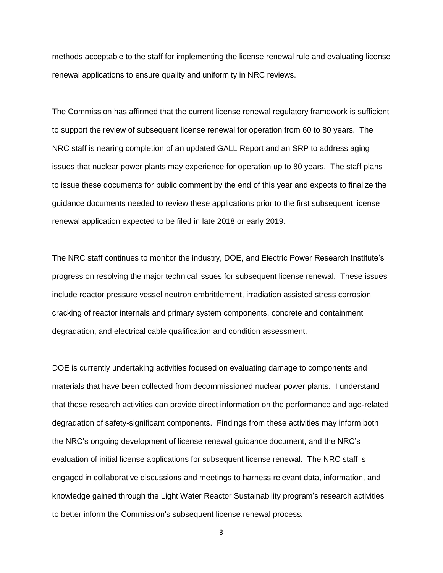methods acceptable to the staff for implementing the license renewal rule and evaluating license renewal applications to ensure quality and uniformity in NRC reviews.

The Commission has affirmed that the current license renewal regulatory framework is sufficient to support the review of subsequent license renewal for operation from 60 to 80 years. The NRC staff is nearing completion of an updated GALL Report and an SRP to address aging issues that nuclear power plants may experience for operation up to 80 years. The staff plans to issue these documents for public comment by the end of this year and expects to finalize the guidance documents needed to review these applications prior to the first subsequent license renewal application expected to be filed in late 2018 or early 2019.

The NRC staff continues to monitor the industry, DOE, and Electric Power Research Institute's progress on resolving the major technical issues for subsequent license renewal. These issues include reactor pressure vessel neutron embrittlement, irradiation assisted stress corrosion cracking of reactor internals and primary system components, concrete and containment degradation, and electrical cable qualification and condition assessment.

DOE is currently undertaking activities focused on evaluating damage to components and materials that have been collected from decommissioned nuclear power plants. I understand that these research activities can provide direct information on the performance and age-related degradation of safety-significant components. Findings from these activities may inform both the NRC's ongoing development of license renewal guidance document, and the NRC's evaluation of initial license applications for subsequent license renewal. The NRC staff is engaged in collaborative discussions and meetings to harness relevant data, information, and knowledge gained through the Light Water Reactor Sustainability program's research activities to better inform the Commission's subsequent license renewal process.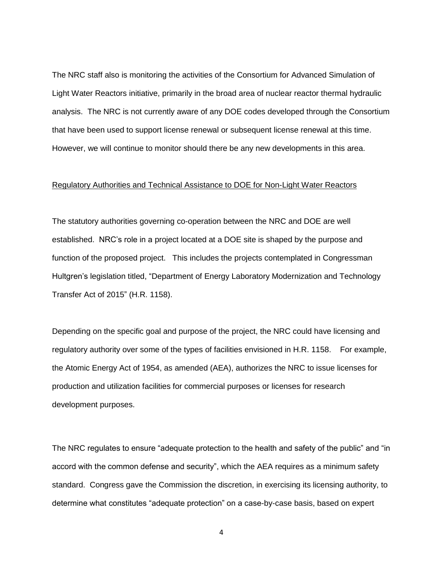The NRC staff also is monitoring the activities of the Consortium for Advanced Simulation of Light Water Reactors initiative, primarily in the broad area of nuclear reactor thermal hydraulic analysis. The NRC is not currently aware of any DOE codes developed through the Consortium that have been used to support license renewal or subsequent license renewal at this time. However, we will continue to monitor should there be any new developments in this area.

#### Regulatory Authorities and Technical Assistance to DOE for Non-Light Water Reactors

The statutory authorities governing co-operation between the NRC and DOE are well established. NRC's role in a project located at a DOE site is shaped by the purpose and function of the proposed project. This includes the projects contemplated in Congressman Hultgren's legislation titled, "Department of Energy Laboratory Modernization and Technology Transfer Act of 2015" (H.R. 1158).

Depending on the specific goal and purpose of the project, the NRC could have licensing and regulatory authority over some of the types of facilities envisioned in H.R. 1158. For example, the Atomic Energy Act of 1954, as amended (AEA), authorizes the NRC to issue licenses for production and utilization facilities for commercial purposes or licenses for research development purposes.

The NRC regulates to ensure "adequate protection to the health and safety of the public" and "in accord with the common defense and security", which the AEA requires as a minimum safety standard. Congress gave the Commission the discretion, in exercising its licensing authority, to determine what constitutes "adequate protection" on a case-by-case basis, based on expert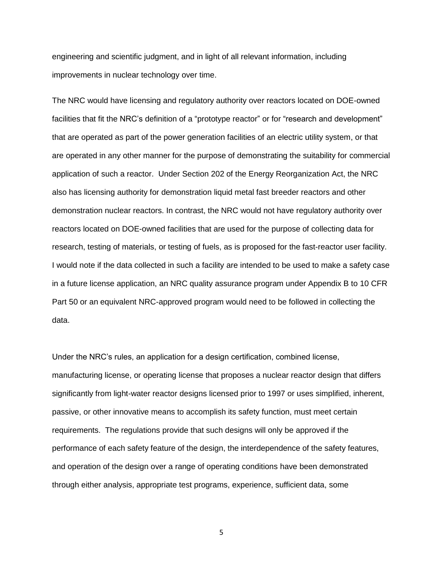engineering and scientific judgment, and in light of all relevant information, including improvements in nuclear technology over time.

The NRC would have licensing and regulatory authority over reactors located on DOE-owned facilities that fit the NRC's definition of a "prototype reactor" or for "research and development" that are operated as part of the power generation facilities of an electric utility system, or that are operated in any other manner for the purpose of demonstrating the suitability for commercial application of such a reactor. Under Section 202 of the Energy Reorganization Act, the NRC also has licensing authority for demonstration liquid metal fast breeder reactors and other demonstration nuclear reactors. In contrast, the NRC would not have regulatory authority over reactors located on DOE-owned facilities that are used for the purpose of collecting data for research, testing of materials, or testing of fuels, as is proposed for the fast-reactor user facility. I would note if the data collected in such a facility are intended to be used to make a safety case in a future license application, an NRC quality assurance program under Appendix B to 10 CFR Part 50 or an equivalent NRC-approved program would need to be followed in collecting the data.

Under the NRC's rules, an application for a design certification, combined license, manufacturing license, or operating license that proposes a nuclear reactor design that differs significantly from light-water reactor designs licensed prior to 1997 or uses simplified, inherent, passive, or other innovative means to accomplish its safety function, must meet certain requirements. The regulations provide that such designs will only be approved if the performance of each safety feature of the design, the interdependence of the safety features, and operation of the design over a range of operating conditions have been demonstrated through either analysis, appropriate test programs, experience, sufficient data, some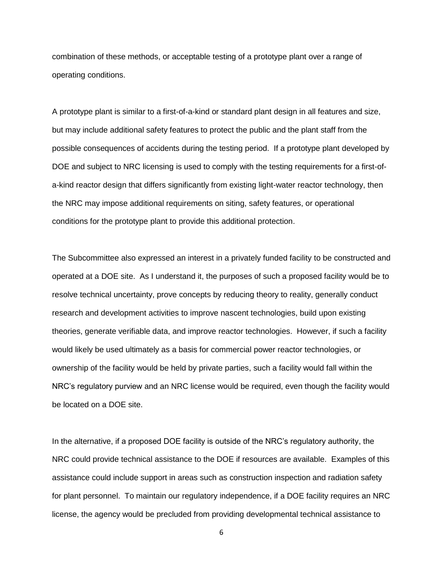combination of these methods, or acceptable testing of a prototype plant over a range of operating conditions.

A prototype plant is similar to a first-of-a-kind or standard plant design in all features and size, but may include additional safety features to protect the public and the plant staff from the possible consequences of accidents during the testing period. If a prototype plant developed by DOE and subject to NRC licensing is used to comply with the testing requirements for a first-ofa-kind reactor design that differs significantly from existing light-water reactor technology, then the NRC may impose additional requirements on siting, safety features, or operational conditions for the prototype plant to provide this additional protection.

The Subcommittee also expressed an interest in a privately funded facility to be constructed and operated at a DOE site. As I understand it, the purposes of such a proposed facility would be to resolve technical uncertainty, prove concepts by reducing theory to reality, generally conduct research and development activities to improve nascent technologies, build upon existing theories, generate verifiable data, and improve reactor technologies. However, if such a facility would likely be used ultimately as a basis for commercial power reactor technologies, or ownership of the facility would be held by private parties, such a facility would fall within the NRC's regulatory purview and an NRC license would be required, even though the facility would be located on a DOE site.

In the alternative, if a proposed DOE facility is outside of the NRC's regulatory authority, the NRC could provide technical assistance to the DOE if resources are available. Examples of this assistance could include support in areas such as construction inspection and radiation safety for plant personnel. To maintain our regulatory independence, if a DOE facility requires an NRC license, the agency would be precluded from providing developmental technical assistance to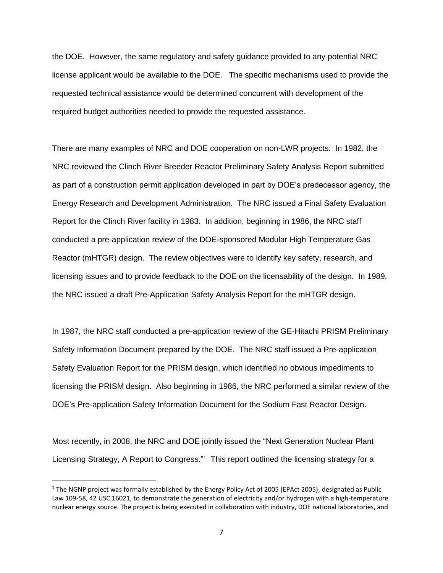the DOE. However, the same regulatory and safety guidance provided to any potential NRC license applicant would be available to the DOE. The specific mechanisms used to provide the requested technical assistance would be determined concurrent with development of the required budget authorities needed to provide the requested assistance.

There are many examples of NRC and DOE cooperation on non-LWR projects. In 1982, the NRC reviewed the Clinch River Breeder Reactor Preliminary Safety Analysis Report submitted as part of a construction permit application developed in part by DOE's predecessor agency, the Energy Research and Development Administration. The NRC issued a Final Safety Evaluation Report for the Clinch River facility in 1983. In addition, beginning in 1986, the NRC staff conducted a pre-application review of the DOE-sponsored Modular High Temperature Gas Reactor (mHTGR) design. The review objectives were to identify key safety, research, and licensing issues and to provide feedback to the DOE on the licensability of the design. In 1989, the NRC issued a draft Pre-Application Safety Analysis Report for the mHTGR design.

In 1987, the NRC staff conducted a pre-application review of the GE-Hitachi PRISM Preliminary Safety Information Document prepared by the DOE. The NRC staff issued a Pre-application Safety Evaluation Report for the PRISM design, which identified no obvious impediments to licensing the PRISM design. Also beginning in 1986, the NRC performed a similar review of the DOE's Pre-application Safety Information Document for the Sodium Fast Reactor Design.

Most recently, in 2008, the NRC and DOE jointly issued the "Next Generation Nuclear Plant Licensing Strategy, A Report to Congress."<sup>1</sup> This report outlined the licensing strategy for a

 $\overline{\phantom{a}}$ 

 $1$  The NGNP project was formally established by the Energy Policy Act of 2005 (EPAct 2005), designated as Public Law 109-58, 42 USC 16021, to demonstrate the generation of electricity and/or hydrogen with a high-temperature nuclear energy source. The project is being executed in collaboration with industry, DOE national laboratories, and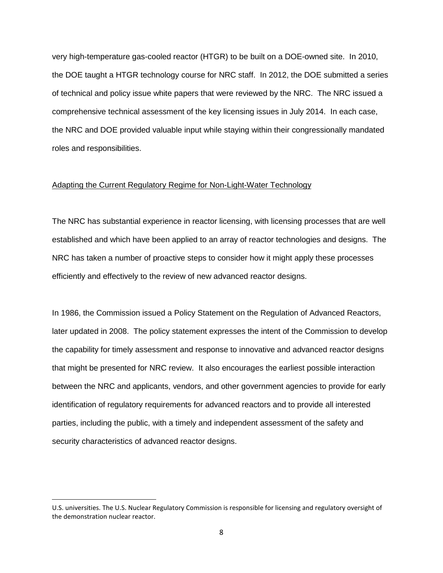very high-temperature gas-cooled reactor (HTGR) to be built on a DOE-owned site. In 2010, the DOE taught a HTGR technology course for NRC staff. In 2012, the DOE submitted a series of technical and policy issue white papers that were reviewed by the NRC. The NRC issued a comprehensive technical assessment of the key licensing issues in July 2014. In each case, the NRC and DOE provided valuable input while staying within their congressionally mandated roles and responsibilities.

#### Adapting the Current Regulatory Regime for Non-Light-Water Technology

The NRC has substantial experience in reactor licensing, with licensing processes that are well established and which have been applied to an array of reactor technologies and designs. The NRC has taken a number of proactive steps to consider how it might apply these processes efficiently and effectively to the review of new advanced reactor designs.

In 1986, the Commission issued a Policy Statement on the Regulation of Advanced Reactors, later updated in 2008. The policy statement expresses the intent of the Commission to develop the capability for timely assessment and response to innovative and advanced reactor designs that might be presented for NRC review. It also encourages the earliest possible interaction between the NRC and applicants, vendors, and other government agencies to provide for early identification of regulatory requirements for advanced reactors and to provide all interested parties, including the public, with a timely and independent assessment of the safety and security characteristics of advanced reactor designs.

l

U.S. universities. The U.S. Nuclear Regulatory Commission is responsible for licensing and regulatory oversight of the demonstration nuclear reactor.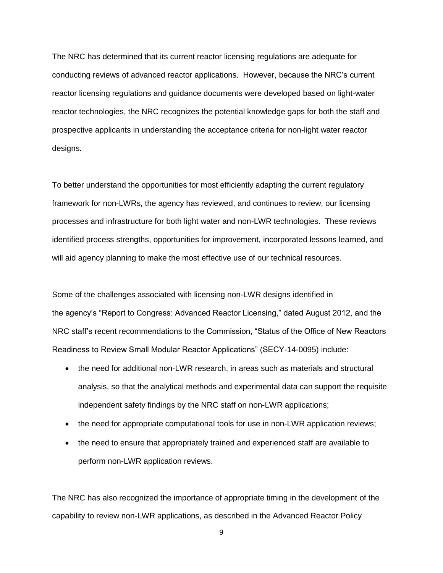The NRC has determined that its current reactor licensing regulations are adequate for conducting reviews of advanced reactor applications. However, because the NRC's current reactor licensing regulations and guidance documents were developed based on light-water reactor technologies, the NRC recognizes the potential knowledge gaps for both the staff and prospective applicants in understanding the acceptance criteria for non-light water reactor designs.

To better understand the opportunities for most efficiently adapting the current regulatory framework for non-LWRs, the agency has reviewed, and continues to review, our licensing processes and infrastructure for both light water and non-LWR technologies. These reviews identified process strengths, opportunities for improvement, incorporated lessons learned, and will aid agency planning to make the most effective use of our technical resources.

Some of the challenges associated with licensing non-LWR designs identified in the agency's "Report to Congress: Advanced Reactor Licensing," dated August 2012, and the NRC staff's recent recommendations to the Commission, "Status of the Office of New Reactors Readiness to Review Small Modular Reactor Applications" (SECY-14-0095) include:

- the need for additional non-LWR research, in areas such as materials and structural analysis, so that the analytical methods and experimental data can support the requisite independent safety findings by the NRC staff on non-LWR applications;
- the need for appropriate computational tools for use in non-LWR application reviews;
- the need to ensure that appropriately trained and experienced staff are available to perform non-LWR application reviews.

The NRC has also recognized the importance of appropriate timing in the development of the capability to review non-LWR applications, as described in the Advanced Reactor Policy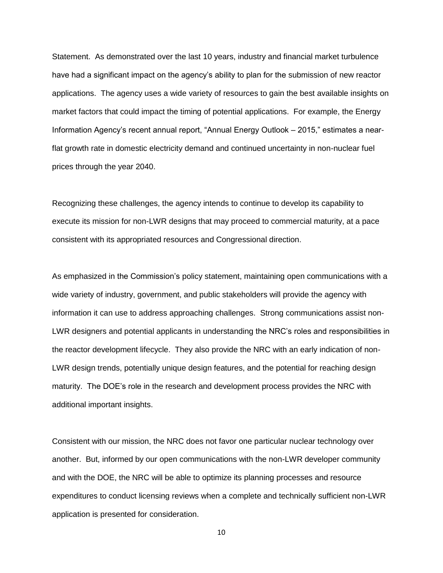Statement. As demonstrated over the last 10 years, industry and financial market turbulence have had a significant impact on the agency's ability to plan for the submission of new reactor applications. The agency uses a wide variety of resources to gain the best available insights on market factors that could impact the timing of potential applications. For example, the Energy Information Agency's recent annual report, "Annual Energy Outlook – 2015," estimates a nearflat growth rate in domestic electricity demand and continued uncertainty in non-nuclear fuel prices through the year 2040.

Recognizing these challenges, the agency intends to continue to develop its capability to execute its mission for non-LWR designs that may proceed to commercial maturity, at a pace consistent with its appropriated resources and Congressional direction.

As emphasized in the Commission's policy statement, maintaining open communications with a wide variety of industry, government, and public stakeholders will provide the agency with information it can use to address approaching challenges. Strong communications assist non-LWR designers and potential applicants in understanding the NRC's roles and responsibilities in the reactor development lifecycle. They also provide the NRC with an early indication of non-LWR design trends, potentially unique design features, and the potential for reaching design maturity. The DOE's role in the research and development process provides the NRC with additional important insights.

Consistent with our mission, the NRC does not favor one particular nuclear technology over another. But, informed by our open communications with the non-LWR developer community and with the DOE, the NRC will be able to optimize its planning processes and resource expenditures to conduct licensing reviews when a complete and technically sufficient non-LWR application is presented for consideration.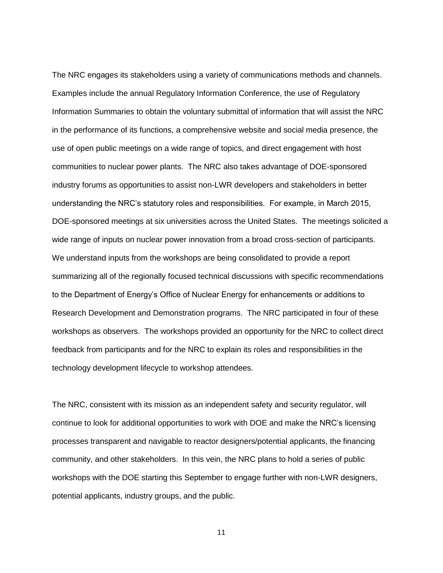The NRC engages its stakeholders using a variety of communications methods and channels. Examples include the annual Regulatory Information Conference, the use of Regulatory Information Summaries to obtain the voluntary submittal of information that will assist the NRC in the performance of its functions, a comprehensive website and social media presence, the use of open public meetings on a wide range of topics, and direct engagement with host communities to nuclear power plants. The NRC also takes advantage of DOE-sponsored industry forums as opportunities to assist non-LWR developers and stakeholders in better understanding the NRC's statutory roles and responsibilities. For example, in March 2015, DOE-sponsored meetings at six universities across the United States. The meetings solicited a wide range of inputs on nuclear power innovation from a broad cross-section of participants. We understand inputs from the workshops are being consolidated to provide a report summarizing all of the regionally focused technical discussions with specific recommendations to the Department of Energy's Office of Nuclear Energy for enhancements or additions to Research Development and Demonstration programs. The NRC participated in four of these workshops as observers. The workshops provided an opportunity for the NRC to collect direct feedback from participants and for the NRC to explain its roles and responsibilities in the technology development lifecycle to workshop attendees.

The NRC, consistent with its mission as an independent safety and security regulator, will continue to look for additional opportunities to work with DOE and make the NRC's licensing processes transparent and navigable to reactor designers/potential applicants, the financing community, and other stakeholders. In this vein, the NRC plans to hold a series of public workshops with the DOE starting this September to engage further with non-LWR designers, potential applicants, industry groups, and the public.